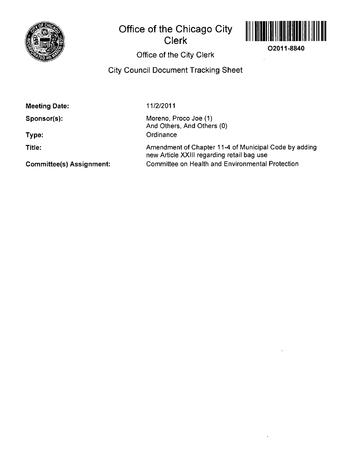

# **Office of the Chicago City Clerk**



**O2011-8840** 

# **Office of the City Clerk**

**City Council Document Tracking Sheet** 

| <b>Meeting Date:</b> | 11/2/2011                                           |
|----------------------|-----------------------------------------------------|
| Sponsor(s):          | Moreno, Proco Joe (1)<br>And Others, And Others (0) |
| Type:                | Ordinance                                           |

**Title:** 

Amendment of Chapter 11-4 of Municipal Code by adding new Article XXIII regarding retail bag use Committee on Health and Environmental Protection

**Committee(s) Assignment:**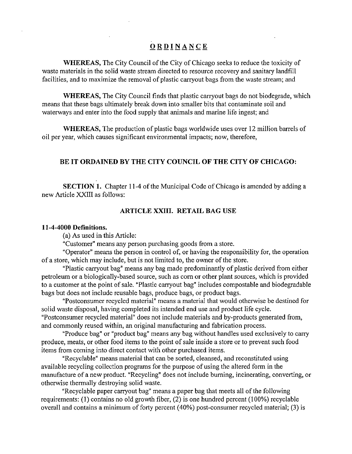## **ORDINANC E**

WHEREAS, The City Council of the City of Chicago seeks to reduce the toxicity of waste materials in the solid waste stream directed to resource recovery and sanitary landfill facilities, and to maximize the removal of plastic carryout bags from the waste stream; and

WHEREAS, The City Council finds that plastic carryout bags do not biodegrade, which means that these bags ultimately break down into smaller bits that contaminate soil and waterways and enter into the food supply that animals and marine life ingest; and

WHEREAS, The production of plastic bags worldwide uses over 12 million barrels of oil per year, which causes significant environmental impacts; now, therefore,

### **BE IT ORDAINED BY THE CITY COUNCIL OF THE CITY OF CHICAGO:**

SECTION 1. Chapter 11-4 of the Municipal Code of Chicago is amended by adding a new Article XXIII as follows:

#### **ARTICLE XXIIL RETAIL BAG USE**

#### **11-4-4000 Defmitions.**

(a) As used in this Article:

"Customer" means any person purchasing goods from a store.

"Operator" means the person in control of, or having the responsibility for, the operation of a store, which may include, but is not limited to, the owner of the store.

"Plastic carryout bag" means any bag made predominantly of plastic derived from either petroleum or a biologically-based source, such as com or other plant sources, which is provided to a customer at the point of sale. "Plastic carryout bag" includes compostable and biodegradable bags but does not include reusable bags, produce bags, or product bags.

"Postconsumer recycled material" means a material that would otherwise be destined for solid waste disposal, having completed its intended end use and product life cycle. "Postconsumer recycled material" does not include materials and by-products generated from, and commonly reused within, an original manufacturing and fabrication process.

"Produce bag" or "product bag" means any bag without handles used exclusively to cany produce, meats, or other food items to the point of sale inside a store or to prevent such food items from coming into direct contact with other purchased items.

"Recyclable" means material that can be sorted, cleansed, and reconstituted using available recycling collection programs for the purpose of using the altered form in the manufacture of a new product. "Recycling" does not include buming, incinerating, converting, or otherwise thermally destroying solid waste.

"Recyclable paper carryout bag" means a paper bag that meets all of the following requirements: (1) contains no old growth fiber, (2) is one hundred percent (100%) recyclable overall and contains a minimum of forty percent (40%) post-consumer recycled material; (3) is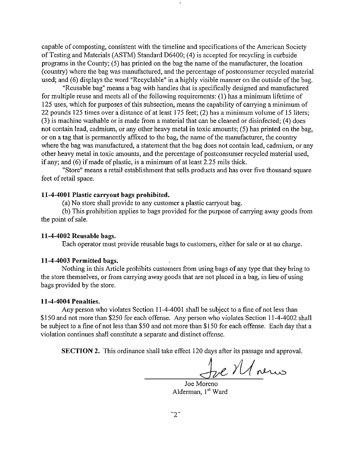capable of composting, consistent with the timeline and specifications of the American Society of Testing and Materials (ASTM) Standard D6400; (4) is accepted for recycling in curbside programs in the County; (5) has printed on the bag the name of the manufacturer, the location (country) where the bag was manufactured, and the percentage of postconsumer recycled material used; and (6) displays the word "Recyclable" in a highly visible manner on the outside of the bag.

"Reusable bag" means a bag with handles that is specifically designed and manufactured for multiple reuse and meets all of the following requirements: (1) has a minimum lifetime of 125 uses, which for purposes of this subsection, means the capability of carrying a minimum of 22 pounds 125 times over a distance of at least 175 feet; (2) has a minimum volume of 15 liters; (3) is machine washable or is made from a material that can be cleaned or disinfected; (4) does not contain lead, cadmium, or any other heavy metal in toxic amounts; (5) has printed on the bag, or on a tag that is permanently affixed to the bag, the name of the manufacturer, the country where the bag was manufactured, a statement that the bag does not contain lead, cadmium, or any other heavy metal in toxic amounts, and the percentage of postconsumer recycled material used, if any; and (6) if made of plastic, is a minimum of at least 2.25 mils thick.

"Store" means a retail establishment that sells products and has over five thousand square feet of retail space.

### **11-4-4001 Plastic carryout bags prohibited.**

(a) No store shall provide to any customer a plastic carryout bag.

(b) This prohibition applies to bags provided for the purpose of carrying away goods from the point of sale.

#### 11-4-4002 Reusable bags.

Each operator must provide reusable bags to customers, either for sale or at no charge.

#### 11-4-4003 Permitted bags.

Nothing in this Article prohibits customers from using bags of any type that they bring to the store themselves, or from carrying away goods that are not placed in a bag, in lieu of using bags provided by the store.

#### **11-4-4004 Penalties.**

Any person who violates Section 11-4-4001 shall be subject to a fme of not less than \$150 and not more than \$250 for each offense. Any person who violates Section 11-4-4002 shall be subject to a fine of not less than \$50 and not more than \$150 for each offense. Each day that a violation continues shall constitute a separate and distinct offense.

SECTION 2. This ordinance shall take effect 120 days after its passage and approval.

Je Moenes

Alderman, 1<sup>st</sup> Ward